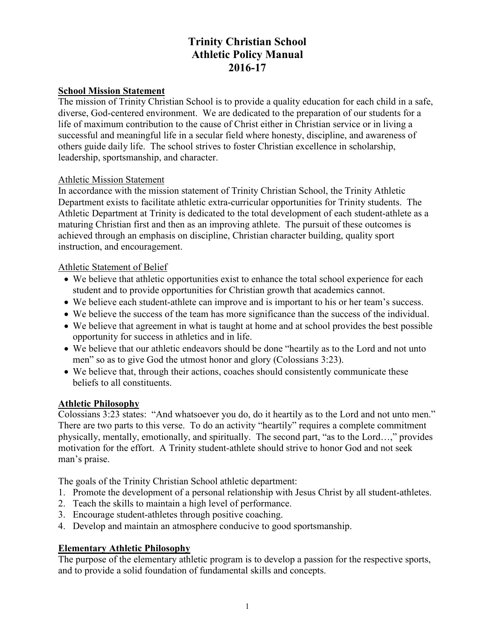# **Trinity Christian School Athletic Policy Manual 2016-17**

#### **School Mission Statement**

The mission of Trinity Christian School is to provide a quality education for each child in a safe, diverse, God-centered environment. We are dedicated to the preparation of our students for a life of maximum contribution to the cause of Christ either in Christian service or in living a successful and meaningful life in a secular field where honesty, discipline, and awareness of others guide daily life. The school strives to foster Christian excellence in scholarship, leadership, sportsmanship, and character.

#### Athletic Mission Statement

In accordance with the mission statement of Trinity Christian School, the Trinity Athletic Department exists to facilitate athletic extra-curricular opportunities for Trinity students. The Athletic Department at Trinity is dedicated to the total development of each student-athlete as a maturing Christian first and then as an improving athlete. The pursuit of these outcomes is achieved through an emphasis on discipline, Christian character building, quality sport instruction, and encouragement.

#### Athletic Statement of Belief

- We believe that athletic opportunities exist to enhance the total school experience for each student and to provide opportunities for Christian growth that academics cannot.
- We believe each student-athlete can improve and is important to his or her team's success.
- We believe the success of the team has more significance than the success of the individual.
- We believe that agreement in what is taught at home and at school provides the best possible opportunity for success in athletics and in life.
- We believe that our athletic endeavors should be done "heartily as to the Lord and not unto men" so as to give God the utmost honor and glory (Colossians 3:23).
- We believe that, through their actions, coaches should consistently communicate these beliefs to all constituents.

## **Athletic Philosophy**

Colossians 3:23 states: "And whatsoever you do, do it heartily as to the Lord and not unto men." There are two parts to this verse. To do an activity "heartily" requires a complete commitment physically, mentally, emotionally, and spiritually. The second part, "as to the Lord…," provides motivation for the effort. A Trinity student-athlete should strive to honor God and not seek man's praise.

The goals of the Trinity Christian School athletic department:

- 1. Promote the development of a personal relationship with Jesus Christ by all student-athletes.
- 2. Teach the skills to maintain a high level of performance.
- 3. Encourage student-athletes through positive coaching.
- 4. Develop and maintain an atmosphere conducive to good sportsmanship.

## **Elementary Athletic Philosophy**

The purpose of the elementary athletic program is to develop a passion for the respective sports, and to provide a solid foundation of fundamental skills and concepts.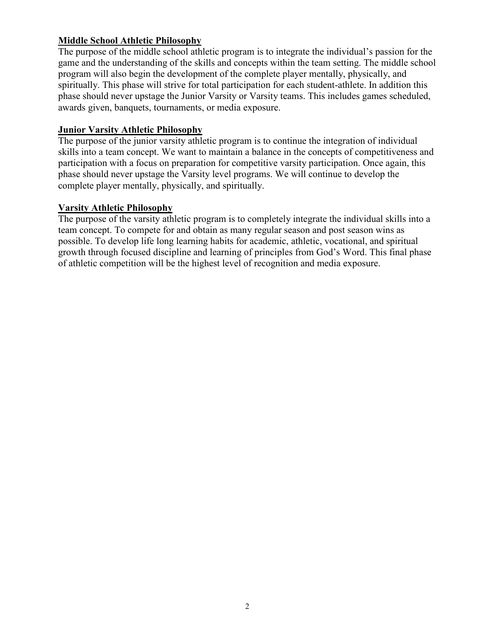#### **Middle School Athletic Philosophy**

The purpose of the middle school athletic program is to integrate the individual's passion for the game and the understanding of the skills and concepts within the team setting. The middle school program will also begin the development of the complete player mentally, physically, and spiritually. This phase will strive for total participation for each student-athlete. In addition this phase should never upstage the Junior Varsity or Varsity teams. This includes games scheduled, awards given, banquets, tournaments, or media exposure.

#### **Junior Varsity Athletic Philosophy**

The purpose of the junior varsity athletic program is to continue the integration of individual skills into a team concept. We want to maintain a balance in the concepts of competitiveness and participation with a focus on preparation for competitive varsity participation. Once again, this phase should never upstage the Varsity level programs. We will continue to develop the complete player mentally, physically, and spiritually.

#### **Varsity Athletic Philosophy**

The purpose of the varsity athletic program is to completely integrate the individual skills into a team concept. To compete for and obtain as many regular season and post season wins as possible. To develop life long learning habits for academic, athletic, vocational, and spiritual growth through focused discipline and learning of principles from God's Word. This final phase of athletic competition will be the highest level of recognition and media exposure.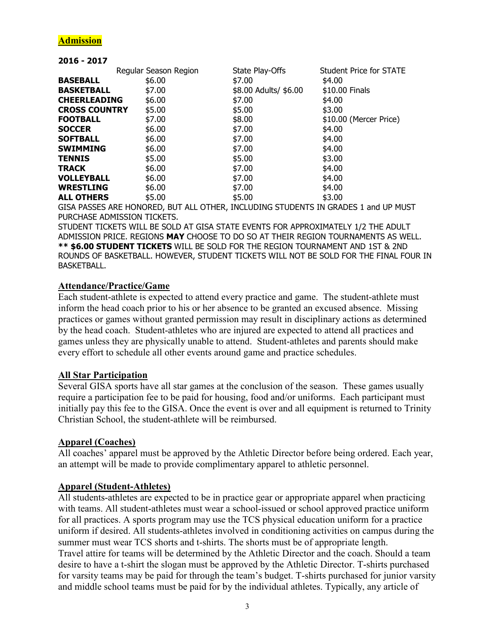## **Admission**

**2016 - 2017** 

| LUIU – LUI <i>i</i>  |                       |                       |                                |
|----------------------|-----------------------|-----------------------|--------------------------------|
|                      | Regular Season Region | State Play-Offs       | <b>Student Price for STATE</b> |
| <b>BASEBALL</b>      | \$6.00                | \$7.00                | \$4.00                         |
| <b>BASKETBALL</b>    | \$7.00                | \$8.00 Adults/ \$6.00 | \$10.00 Finals                 |
| <b>CHEERLEADING</b>  | \$6.00                | \$7.00                | \$4.00                         |
| <b>CROSS COUNTRY</b> | \$5.00                | \$5.00                | \$3.00                         |
| <b>FOOTBALL</b>      | \$7.00                | \$8.00                | \$10.00 (Mercer Price)         |
| <b>SOCCER</b>        | \$6.00                | \$7.00                | \$4.00                         |
| <b>SOFTBALL</b>      | \$6.00                | \$7.00                | \$4.00                         |
| SWIMMING             | \$6.00                | \$7.00                | \$4.00                         |
| TENNIS               | \$5.00                | \$5.00                | \$3.00                         |
| <b>TRACK</b>         | \$6.00                | \$7.00                | \$4.00                         |
| <b>VOLLEYBALL</b>    | \$6.00                | \$7.00                | \$4.00                         |
| <b>WRESTLING</b>     | \$6.00                | \$7.00                | \$4.00                         |
| <b>ALL OTHERS</b>    | \$5.00                | \$5.00                | \$3.00                         |
|                      |                       |                       |                                |

GISA PASSES ARE HONORED, BUT ALL OTHER, INCLUDING STUDENTS IN GRADES 1 and UP MUST PURCHASE ADMISSION TICKETS.

STUDENT TICKETS WILL BE SOLD AT GISA STATE EVENTS FOR APPROXIMATELY 1/2 THE ADULT ADMISSION PRICE. REGIONS **MAY** CHOOSE TO DO SO AT THEIR REGION TOURNAMENTS AS WELL. **\*\* \$6.00 STUDENT TICKETS** WILL BE SOLD FOR THE REGION TOURNAMENT AND 1ST & 2ND ROUNDS OF BASKETBALL. HOWEVER, STUDENT TICKETS WILL NOT BE SOLD FOR THE FINAL FOUR IN BASKETBALL.

#### **Attendance/Practice/Game**

Each student-athlete is expected to attend every practice and game. The student-athlete must inform the head coach prior to his or her absence to be granted an excused absence. Missing practices or games without granted permission may result in disciplinary actions as determined by the head coach. Student-athletes who are injured are expected to attend all practices and games unless they are physically unable to attend. Student-athletes and parents should make every effort to schedule all other events around game and practice schedules.

#### **All Star Participation**

Several GISA sports have all star games at the conclusion of the season. These games usually require a participation fee to be paid for housing, food and/or uniforms. Each participant must initially pay this fee to the GISA. Once the event is over and all equipment is returned to Trinity Christian School, the student-athlete will be reimbursed.

#### **Apparel (Coaches)**

All coaches' apparel must be approved by the Athletic Director before being ordered. Each year, an attempt will be made to provide complimentary apparel to athletic personnel.

#### **Apparel (Student-Athletes)**

All students-athletes are expected to be in practice gear or appropriate apparel when practicing with teams. All student-athletes must wear a school-issued or school approved practice uniform for all practices. A sports program may use the TCS physical education uniform for a practice uniform if desired. All students-athletes involved in conditioning activities on campus during the summer must wear TCS shorts and t-shirts. The shorts must be of appropriate length. Travel attire for teams will be determined by the Athletic Director and the coach. Should a team desire to have a t-shirt the slogan must be approved by the Athletic Director. T-shirts purchased for varsity teams may be paid for through the team's budget. T-shirts purchased for junior varsity and middle school teams must be paid for by the individual athletes. Typically, any article of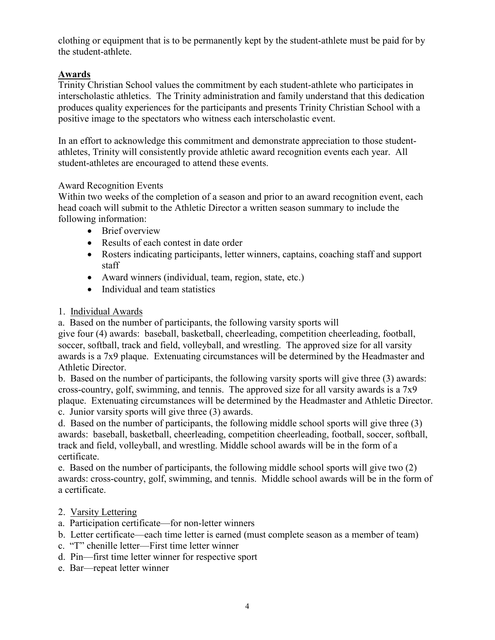clothing or equipment that is to be permanently kept by the student-athlete must be paid for by the student-athlete.

## **Awards**

Trinity Christian School values the commitment by each student-athlete who participates in interscholastic athletics. The Trinity administration and family understand that this dedication produces quality experiences for the participants and presents Trinity Christian School with a positive image to the spectators who witness each interscholastic event.

In an effort to acknowledge this commitment and demonstrate appreciation to those studentathletes, Trinity will consistently provide athletic award recognition events each year. All student-athletes are encouraged to attend these events.

#### Award Recognition Events

Within two weeks of the completion of a season and prior to an award recognition event, each head coach will submit to the Athletic Director a written season summary to include the following information:

- Brief overview
- Results of each contest in date order
- Rosters indicating participants, letter winners, captains, coaching staff and support staff
- Award winners (individual, team, region, state, etc.)
- Individual and team statistics

## 1. Individual Awards

a. Based on the number of participants, the following varsity sports will give four (4) awards: baseball, basketball, cheerleading, competition cheerleading, football, soccer, softball, track and field, volleyball, and wrestling. The approved size for all varsity awards is a 7x9 plaque. Extenuating circumstances will be determined by the Headmaster and Athletic Director.

b. Based on the number of participants, the following varsity sports will give three (3) awards: cross-country, golf, swimming, and tennis. The approved size for all varsity awards is a 7x9 plaque. Extenuating circumstances will be determined by the Headmaster and Athletic Director. c. Junior varsity sports will give three (3) awards.

d. Based on the number of participants, the following middle school sports will give three (3) awards: baseball, basketball, cheerleading, competition cheerleading, football, soccer, softball, track and field, volleyball, and wrestling. Middle school awards will be in the form of a certificate.

e. Based on the number of participants, the following middle school sports will give two (2) awards: cross-country, golf, swimming, and tennis. Middle school awards will be in the form of a certificate.

## 2. Varsity Lettering

- a. Participation certificate—for non-letter winners
- b. Letter certificate—each time letter is earned (must complete season as a member of team)
- c. "T" chenille letter—First time letter winner
- d. Pin—first time letter winner for respective sport
- e. Bar—repeat letter winner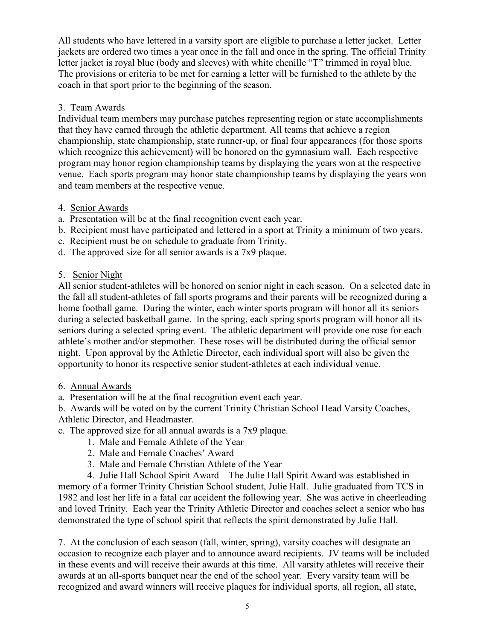All students who have lettered in a varsity sport are eligible to purchase a letter jacket. Letter jackets are ordered two times a year once in the fall and once in the spring. The official Trinity letter jacket is royal blue (body and sleeves) with white chenille "T" trimmed in royal blue. The provisions or criteria to be met for earning a letter will be furnished to the athlete by the coach in that sport prior to the beginning of the season.

## 3. Team Awards

Individual team members may purchase patches representing region or state accomplishments that they have earned through the athletic department. All teams that achieve a region championship, state championship, state runner-up, or final four appearances (for those sports which recognize this achievement) will be honored on the gymnasium wall. Each respective program may honor region championship teams by displaying the years won at the respective venue. Each sports program may honor state championship teams by displaying the years won and team members at the respective venue.

## 4. Senior Awards

- a. Presentation will be at the final recognition event each year.
- b. Recipient must have participated and lettered in a sport at Trinity a minimum of two years.
- c. Recipient must be on schedule to graduate from Trinity.
- d. The approved size for all senior awards is a 7x9 plaque.

## 5. Senior Night

All senior student-athletes will be honored on senior night in each season. On a selected date in the fall all student-athletes of fall sports programs and their parents will be recognized during a home football game. During the winter, each winter sports program will honor all its seniors during a selected basketball game. In the spring, each spring sports program will honor all its seniors during a selected spring event. The athletic department will provide one rose for each athlete's mother and/or stepmother. These roses will be distributed during the official senior night. Upon approval by the Athletic Director, each individual sport will also be given the opportunity to honor its respective senior student-athletes at each individual venue.

## 6. Annual Awards

a. Presentation will be at the final recognition event each year.

b. Awards will be voted on by the current Trinity Christian School Head Varsity Coaches, Athletic Director, and Headmaster.

- c. The approved size for all annual awards is a 7x9 plaque.
	- 1. Male and Female Athlete of the Year
	- 2. Male and Female Coaches' Award
	- 3. Male and Female Christian Athlete of the Year

4. Julie Hall School Spirit Award—The Julie Hall Spirit Award was established in memory of a former Trinity Christian School student, Julie Hall. Julie graduated from TCS in 1982 and lost her life in a fatal car accident the following year. She was active in cheerleading and loved Trinity. Each year the Trinity Athletic Director and coaches select a senior who has demonstrated the type of school spirit that reflects the spirit demonstrated by Julie Hall.

7. At the conclusion of each season (fall, winter, spring), varsity coaches will designate an occasion to recognize each player and to announce award recipients. JV teams will be included in these events and will receive their awards at this time. All varsity athletes will receive their awards at an all-sports banquet near the end of the school year. Every varsity team will be recognized and award winners will receive plaques for individual sports, all region, all state,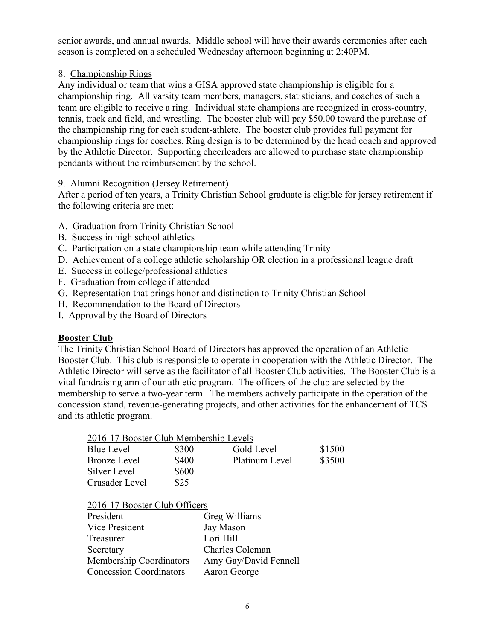senior awards, and annual awards. Middle school will have their awards ceremonies after each season is completed on a scheduled Wednesday afternoon beginning at 2:40PM.

## 8. Championship Rings

Any individual or team that wins a GISA approved state championship is eligible for a championship ring. All varsity team members, managers, statisticians, and coaches of such a team are eligible to receive a ring. Individual state champions are recognized in cross-country, tennis, track and field, and wrestling. The booster club will pay \$50.00 toward the purchase of the championship ring for each student-athlete. The booster club provides full payment for championship rings for coaches. Ring design is to be determined by the head coach and approved by the Athletic Director. Supporting cheerleaders are allowed to purchase state championship pendants without the reimbursement by the school.

## 9. Alumni Recognition (Jersey Retirement)

After a period of ten years, a Trinity Christian School graduate is eligible for jersey retirement if the following criteria are met:

- A. Graduation from Trinity Christian School
- B. Success in high school athletics
- C. Participation on a state championship team while attending Trinity
- D. Achievement of a college athletic scholarship OR election in a professional league draft
- E. Success in college/professional athletics
- F. Graduation from college if attended
- G. Representation that brings honor and distinction to Trinity Christian School
- H. Recommendation to the Board of Directors
- I. Approval by the Board of Directors

## **Booster Club**

The Trinity Christian School Board of Directors has approved the operation of an Athletic Booster Club. This club is responsible to operate in cooperation with the Athletic Director. The Athletic Director will serve as the facilitator of all Booster Club activities. The Booster Club is a vital fundraising arm of our athletic program. The officers of the club are selected by the membership to serve a two-year term. The members actively participate in the operation of the concession stand, revenue-generating projects, and other activities for the enhancement of TCS and its athletic program.

| 2016-17 Booster Club Membership Levels |       |                |        |
|----------------------------------------|-------|----------------|--------|
| Blue Level                             | \$300 | Gold Level     | \$1500 |
| Bronze Level                           | \$400 | Platinum Level | \$3500 |
| Silver Level                           | \$600 |                |        |
| Crusader Level                         | \$25  |                |        |
|                                        |       |                |        |

2016-17 Booster Club Officers

| President                      | Greg Williams         |
|--------------------------------|-----------------------|
| Vice President                 | Jay Mason             |
| Treasurer                      | Lori Hill             |
| Secretary                      | Charles Coleman       |
| Membership Coordinators        | Amy Gay/David Fennell |
| <b>Concession Coordinators</b> | Aaron George          |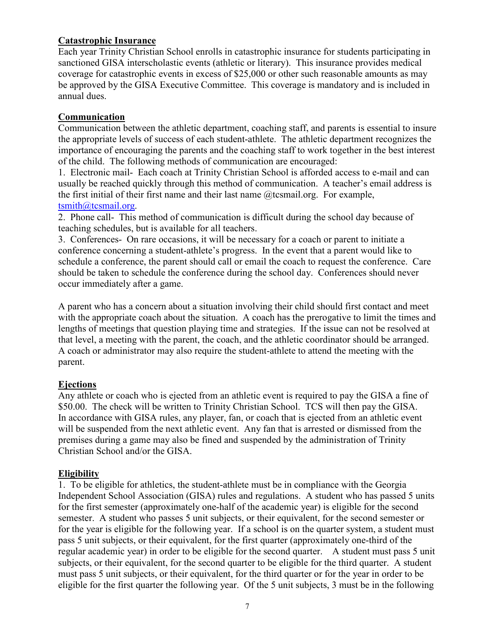## **Catastrophic Insurance**

Each year Trinity Christian School enrolls in catastrophic insurance for students participating in sanctioned GISA interscholastic events (athletic or literary). This insurance provides medical coverage for catastrophic events in excess of \$25,000 or other such reasonable amounts as may be approved by the GISA Executive Committee. This coverage is mandatory and is included in annual dues.

## **Communication**

Communication between the athletic department, coaching staff, and parents is essential to insure the appropriate levels of success of each student-athlete. The athletic department recognizes the importance of encouraging the parents and the coaching staff to work together in the best interest of the child. The following methods of communication are encouraged:

1. Electronic mail- Each coach at Trinity Christian School is afforded access to e-mail and can usually be reached quickly through this method of communication. A teacher's email address is the first initial of their first name and their last name  $@$  tcsmail.org. For example, tsmith@tcsmail.org.

2. Phone call- This method of communication is difficult during the school day because of teaching schedules, but is available for all teachers.

3. Conferences- On rare occasions, it will be necessary for a coach or parent to initiate a conference concerning a student-athlete's progress. In the event that a parent would like to schedule a conference, the parent should call or email the coach to request the conference. Care should be taken to schedule the conference during the school day. Conferences should never occur immediately after a game.

A parent who has a concern about a situation involving their child should first contact and meet with the appropriate coach about the situation. A coach has the prerogative to limit the times and lengths of meetings that question playing time and strategies. If the issue can not be resolved at that level, a meeting with the parent, the coach, and the athletic coordinator should be arranged. A coach or administrator may also require the student-athlete to attend the meeting with the parent.

## **Ejections**

Any athlete or coach who is ejected from an athletic event is required to pay the GISA a fine of \$50.00. The check will be written to Trinity Christian School. TCS will then pay the GISA. In accordance with GISA rules, any player, fan, or coach that is ejected from an athletic event will be suspended from the next athletic event. Any fan that is arrested or dismissed from the premises during a game may also be fined and suspended by the administration of Trinity Christian School and/or the GISA.

## **Eligibility**

1. To be eligible for athletics, the student-athlete must be in compliance with the Georgia Independent School Association (GISA) rules and regulations. A student who has passed 5 units for the first semester (approximately one-half of the academic year) is eligible for the second semester. A student who passes 5 unit subjects, or their equivalent, for the second semester or for the year is eligible for the following year. If a school is on the quarter system, a student must pass 5 unit subjects, or their equivalent, for the first quarter (approximately one-third of the regular academic year) in order to be eligible for the second quarter. A student must pass 5 unit subjects, or their equivalent, for the second quarter to be eligible for the third quarter. A student must pass 5 unit subjects, or their equivalent, for the third quarter or for the year in order to be eligible for the first quarter the following year. Of the 5 unit subjects, 3 must be in the following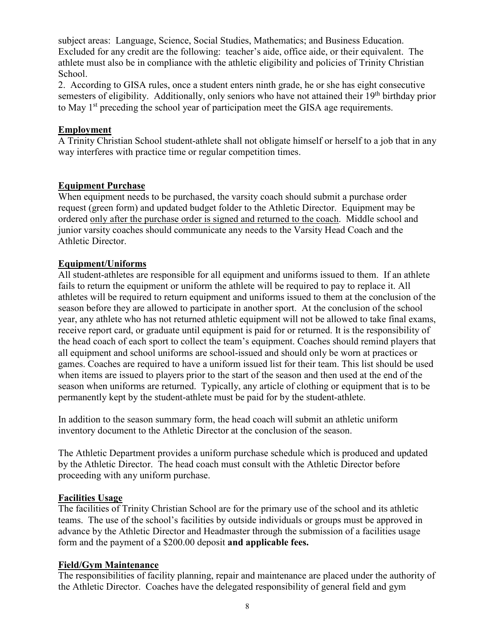subject areas: Language, Science, Social Studies, Mathematics; and Business Education. Excluded for any credit are the following: teacher's aide, office aide, or their equivalent. The athlete must also be in compliance with the athletic eligibility and policies of Trinity Christian School.

2.According to GISA rules, once a student enters ninth grade, he or she has eight consecutive semesters of eligibility. Additionally, only seniors who have not attained their 19<sup>th</sup> birthday prior to May 1<sup>st</sup> preceding the school year of participation meet the GISA age requirements.

## **Employment**

A Trinity Christian School student-athlete shall not obligate himself or herself to a job that in any way interferes with practice time or regular competition times.

## **Equipment Purchase**

When equipment needs to be purchased, the varsity coach should submit a purchase order request (green form) and updated budget folder to the Athletic Director. Equipment may be ordered only after the purchase order is signed and returned to the coach. Middle school and junior varsity coaches should communicate any needs to the Varsity Head Coach and the Athletic Director.

## **Equipment/Uniforms**

All student-athletes are responsible for all equipment and uniforms issued to them. If an athlete fails to return the equipment or uniform the athlete will be required to pay to replace it. All athletes will be required to return equipment and uniforms issued to them at the conclusion of the season before they are allowed to participate in another sport. At the conclusion of the school year, any athlete who has not returned athletic equipment will not be allowed to take final exams, receive report card, or graduate until equipment is paid for or returned. It is the responsibility of the head coach of each sport to collect the team's equipment. Coaches should remind players that all equipment and school uniforms are school-issued and should only be worn at practices or games. Coaches are required to have a uniform issued list for their team. This list should be used when items are issued to players prior to the start of the season and then used at the end of the season when uniforms are returned. Typically, any article of clothing or equipment that is to be permanently kept by the student-athlete must be paid for by the student-athlete.

In addition to the season summary form, the head coach will submit an athletic uniform inventory document to the Athletic Director at the conclusion of the season.

The Athletic Department provides a uniform purchase schedule which is produced and updated by the Athletic Director. The head coach must consult with the Athletic Director before proceeding with any uniform purchase.

## **Facilities Usage**

The facilities of Trinity Christian School are for the primary use of the school and its athletic teams. The use of the school's facilities by outside individuals or groups must be approved in advance by the Athletic Director and Headmaster through the submission of a facilities usage form and the payment of a \$200.00 deposit **and applicable fees.**

## **Field/Gym Maintenance**

The responsibilities of facility planning, repair and maintenance are placed under the authority of the Athletic Director. Coaches have the delegated responsibility of general field and gym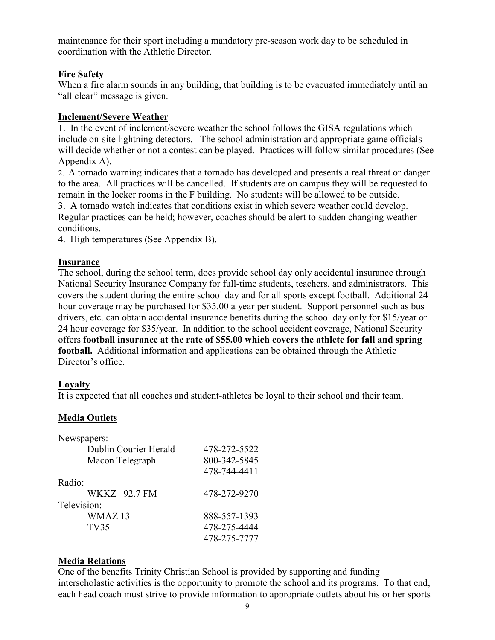maintenance for their sport including a mandatory pre-season work day to be scheduled in coordination with the Athletic Director.

## **Fire Safety**

When a fire alarm sounds in any building, that building is to be evacuated immediately until an "all clear" message is given.

## **Inclement/Severe Weather**

1. In the event of inclement/severe weather the school follows the GISA regulations which include on-site lightning detectors. The school administration and appropriate game officials will decide whether or not a contest can be played. Practices will follow similar procedures (See Appendix A).

2.A tornado warning indicates that a tornado has developed and presents a real threat or danger to the area. All practices will be cancelled. If students are on campus they will be requested to remain in the locker rooms in the F building. No students will be allowed to be outside.

3. A tornado watch indicates that conditions exist in which severe weather could develop. Regular practices can be held; however, coaches should be alert to sudden changing weather conditions.

4. High temperatures (See Appendix B).

## **Insurance**

The school, during the school term, does provide school day only accidental insurance through National Security Insurance Company for full-time students, teachers, and administrators. This covers the student during the entire school day and for all sports except football. Additional 24 hour coverage may be purchased for \$35.00 a year per student. Support personnel such as bus drivers, etc. can obtain accidental insurance benefits during the school day only for \$15/year or 24 hour coverage for \$35/year. In addition to the school accident coverage, National Security offers **football insurance at the rate of \$55.00 which covers the athlete for fall and spring football.** Additional information and applications can be obtained through the Athletic Director's office.

## **Loyalty**

It is expected that all coaches and student-athletes be loyal to their school and their team.

## **Media Outlets**

| Newspapers:           |              |
|-----------------------|--------------|
| Dublin Courier Herald | 478-272-5522 |
| Macon Telegraph       | 800-342-5845 |
|                       | 478-744-4411 |
| Radio:                |              |
| WKKZ 92.7 FM          | 478-272-9270 |
| Television:           |              |
| WMAZ 13               | 888-557-1393 |
| TV35                  | 478-275-4444 |
|                       | 478-275-7777 |

## **Media Relations**

One of the benefits Trinity Christian School is provided by supporting and funding interscholastic activities is the opportunity to promote the school and its programs. To that end, each head coach must strive to provide information to appropriate outlets about his or her sports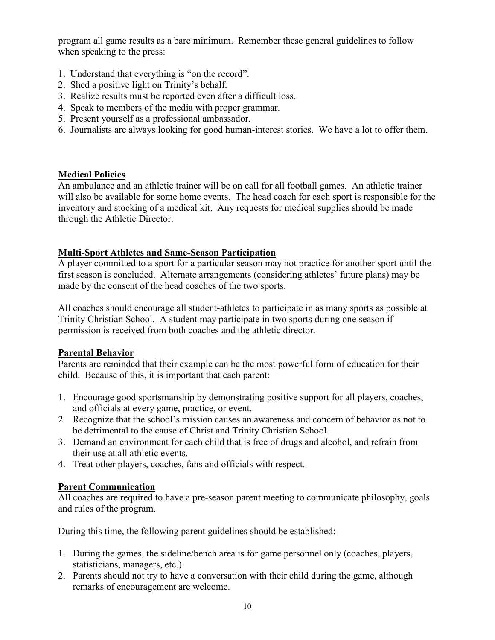program all game results as a bare minimum. Remember these general guidelines to follow when speaking to the press:

- 1. Understand that everything is "on the record".
- 2. Shed a positive light on Trinity's behalf.
- 3. Realize results must be reported even after a difficult loss.
- 4. Speak to members of the media with proper grammar.
- 5. Present yourself as a professional ambassador.
- 6. Journalists are always looking for good human-interest stories. We have a lot to offer them.

## **Medical Policies**

An ambulance and an athletic trainer will be on call for all football games. An athletic trainer will also be available for some home events. The head coach for each sport is responsible for the inventory and stocking of a medical kit. Any requests for medical supplies should be made through the Athletic Director.

## **Multi-Sport Athletes and Same-Season Participation**

A player committed to a sport for a particular season may not practice for another sport until the first season is concluded. Alternate arrangements (considering athletes' future plans) may be made by the consent of the head coaches of the two sports.

All coaches should encourage all student-athletes to participate in as many sports as possible at Trinity Christian School. A student may participate in two sports during one season if permission is received from both coaches and the athletic director.

## **Parental Behavior**

Parents are reminded that their example can be the most powerful form of education for their child. Because of this, it is important that each parent:

- 1. Encourage good sportsmanship by demonstrating positive support for all players, coaches, and officials at every game, practice, or event.
- 2. Recognize that the school's mission causes an awareness and concern of behavior as not to be detrimental to the cause of Christ and Trinity Christian School.
- 3. Demand an environment for each child that is free of drugs and alcohol, and refrain from their use at all athletic events.
- 4. Treat other players, coaches, fans and officials with respect.

## **Parent Communication**

All coaches are required to have a pre-season parent meeting to communicate philosophy, goals and rules of the program.

During this time, the following parent guidelines should be established:

- 1. During the games, the sideline/bench area is for game personnel only (coaches, players, statisticians, managers, etc.)
- 2. Parents should not try to have a conversation with their child during the game, although remarks of encouragement are welcome.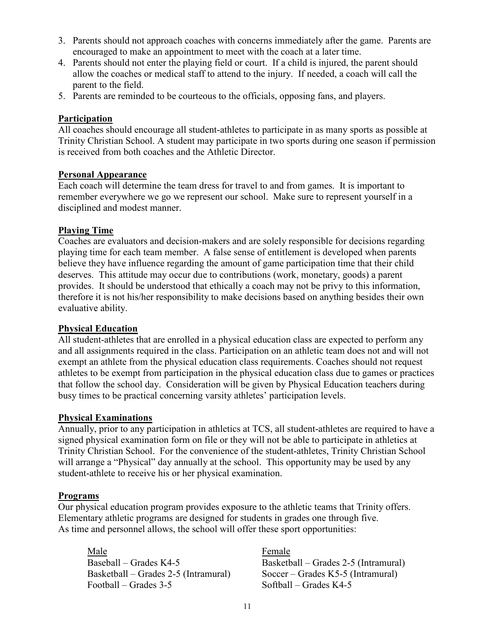- 3. Parents should not approach coaches with concerns immediately after the game. Parents are encouraged to make an appointment to meet with the coach at a later time.
- 4. Parents should not enter the playing field or court. If a child is injured, the parent should allow the coaches or medical staff to attend to the injury. If needed, a coach will call the parent to the field.
- 5. Parents are reminded to be courteous to the officials, opposing fans, and players.

## **Participation**

All coaches should encourage all student-athletes to participate in as many sports as possible at Trinity Christian School. A student may participate in two sports during one season if permission is received from both coaches and the Athletic Director.

#### **Personal Appearance**

Each coach will determine the team dress for travel to and from games. It is important to remember everywhere we go we represent our school. Make sure to represent yourself in a disciplined and modest manner.

#### **Playing Time**

Coaches are evaluators and decision-makers and are solely responsible for decisions regarding playing time for each team member. A false sense of entitlement is developed when parents believe they have influence regarding the amount of game participation time that their child deserves. This attitude may occur due to contributions (work, monetary, goods) a parent provides. It should be understood that ethically a coach may not be privy to this information, therefore it is not his/her responsibility to make decisions based on anything besides their own evaluative ability.

## **Physical Education**

All student-athletes that are enrolled in a physical education class are expected to perform any and all assignments required in the class. Participation on an athletic team does not and will not exempt an athlete from the physical education class requirements. Coaches should not request athletes to be exempt from participation in the physical education class due to games or practices that follow the school day. Consideration will be given by Physical Education teachers during busy times to be practical concerning varsity athletes' participation levels.

#### **Physical Examinations**

Annually, prior to any participation in athletics at TCS, all student-athletes are required to have a signed physical examination form on file or they will not be able to participate in athletics at Trinity Christian School. For the convenience of the student-athletes, Trinity Christian School will arrange a "Physical" day annually at the school. This opportunity may be used by any student-athlete to receive his or her physical examination.

## **Programs**

Our physical education program provides exposure to the athletic teams that Trinity offers. Elementary athletic programs are designed for students in grades one through five. As time and personnel allows, the school will offer these sport opportunities:

Male **Female** Basketball – Grades 2-5 (Intramural) Soccer – Grades K5-5 (Intramural) Football – Grades 3-5 Softball – Grades K4-5

Baseball – Grades K4-5 Basketball – Grades 2-5 (Intramural)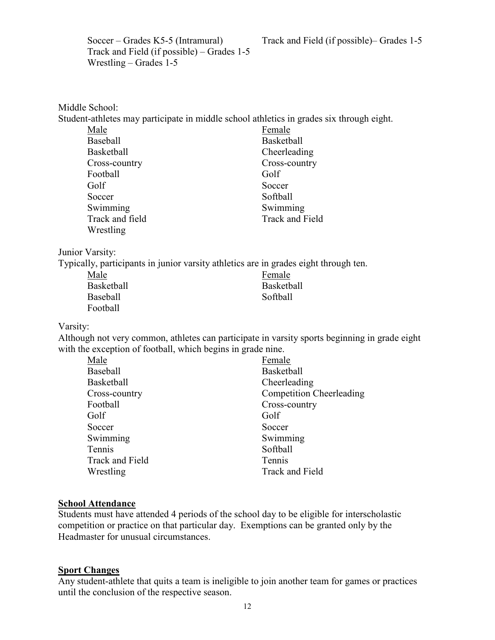Soccer – Grades K5-5 (Intramural) Track and Field (if possible)– Grades 1-5

Track and Field (if possible) – Grades 1-5 Wrestling – Grades 1-5

| Middle School:                                                                           |                                                                                               |
|------------------------------------------------------------------------------------------|-----------------------------------------------------------------------------------------------|
| Student-athletes may participate in middle school athletics in grades six through eight. |                                                                                               |
| Male                                                                                     | Female                                                                                        |
| <b>Baseball</b>                                                                          | <b>Basketball</b>                                                                             |
| Basketball                                                                               | Cheerleading                                                                                  |
| Cross-country                                                                            | Cross-country                                                                                 |
| Football                                                                                 | Golf                                                                                          |
| Golf                                                                                     | Soccer                                                                                        |
| Soccer                                                                                   | Softball                                                                                      |
| Swimming                                                                                 | Swimming                                                                                      |
| Track and field                                                                          | <b>Track and Field</b>                                                                        |
| Wrestling                                                                                |                                                                                               |
| Junior Varsity:                                                                          |                                                                                               |
| Typically, participants in junior varsity athletics are in grades eight through ten.     |                                                                                               |
| Male                                                                                     | Female                                                                                        |
| Basketball                                                                               | Basketball                                                                                    |
| <b>Baseball</b>                                                                          | Softball                                                                                      |
| Football                                                                                 |                                                                                               |
| Varsity:                                                                                 |                                                                                               |
|                                                                                          | Although not very common, athletes can participate in varsity sports beginning in grade eight |
| with the exception of football, which begins in grade nine.                              |                                                                                               |
| Male                                                                                     | Female                                                                                        |
| <b>Baseball</b>                                                                          | <b>Basketball</b>                                                                             |
| <b>Basketball</b>                                                                        | Cheerleading                                                                                  |
| Cross-country                                                                            | <b>Competition Cheerleading</b>                                                               |

## **School Attendance**

Students must have attended 4 periods of the school day to be eligible for interscholastic competition or practice on that particular day. Exemptions can be granted only by the Headmaster for unusual circumstances.

Football Cross-country

Wrestling Track and Field

Golf Golf Soccer Soccer Soccer Soccer Soccer Soccer Soccer Soccer Soccer Soccer Soccer Soccer Soccer Soccer Soccer Soccer Soccer Soccer Soccer Soccer Soccer Soccer Soccer Soccer Soccer Soccer Soccer Soccer Soccer Soccer Soccer Socce Swimming Swimming Tennis Softball Track and Field Tennis

#### **Sport Changes**

Any student-athlete that quits a team is ineligible to join another team for games or practices until the conclusion of the respective season.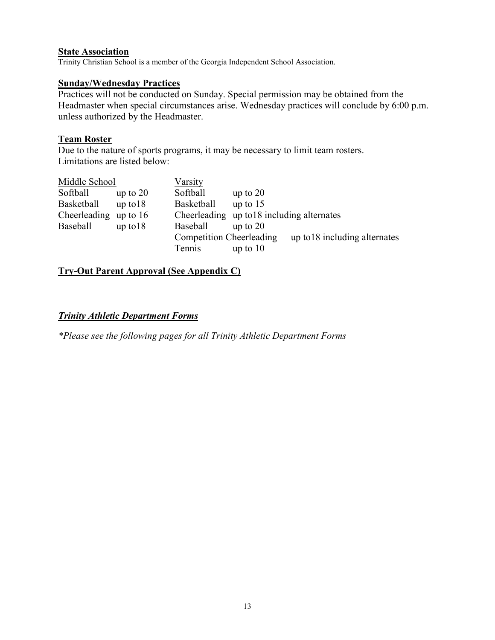#### **State Association**

Trinity Christian School is a member of the Georgia Independent School Association.

#### **Sunday/Wednesday Practices**

Practices will not be conducted on Sunday. Special permission may be obtained from the Headmaster when special circumstances arise. Wednesday practices will conclude by 6:00 p.m. unless authorized by the Headmaster.

#### **Team Roster**

Due to the nature of sports programs, it may be necessary to limit team rosters. Limitations are listed below:

| Middle School |              | Varsity                         |                                            |                               |
|---------------|--------------|---------------------------------|--------------------------------------------|-------------------------------|
| Softball      | up to $20$   | Softball                        | up to $20$                                 |                               |
| Basketball    | $up$ to $18$ | <b>Basketball</b>               | up to $15$                                 |                               |
| Cheerleading  | up to $16$   |                                 | Cheerleading up to 18 including alternates |                               |
| Baseball      | $up$ to $18$ | <b>Baseball</b>                 | up to $20$                                 |                               |
|               |              | <b>Competition Cheerleading</b> |                                            | up to 18 including alternates |
|               |              | Tennis                          | up to $10$                                 |                               |

## **Try-Out Parent Approval (See Appendix C)**

#### *Trinity Athletic Department Forms*

*\*Please see the following pages for all Trinity Athletic Department Forms*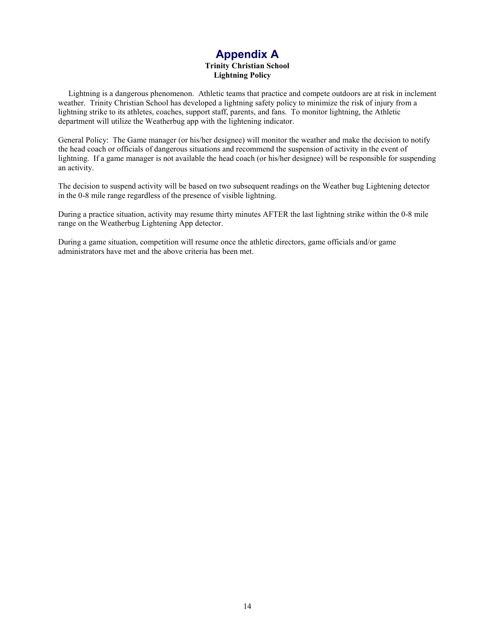# **Appendix A**

#### **Trinity Christian School Lightning Policy**

 Lightning is a dangerous phenomenon. Athletic teams that practice and compete outdoors are at risk in inclement weather. Trinity Christian School has developed a lightning safety policy to minimize the risk of injury from a lightning strike to its athletes, coaches, support staff, parents, and fans. To monitor lightning, the Athletic department will utilize the Weatherbug app with the lightening indicator.

General Policy: The Game manager (or his/her designee) will monitor the weather and make the decision to notify the head coach or officials of dangerous situations and recommend the suspension of activity in the event of lightning. If a game manager is not available the head coach (or his/her designee) will be responsible for suspending an activity.

The decision to suspend activity will be based on two subsequent readings on the Weather bug Lightening detector in the 0-8 mile range regardless of the presence of visible lightning.

During a practice situation, activity may resume thirty minutes AFTER the last lightning strike within the 0-8 mile range on the Weatherbug Lightening App detector.

During a game situation, competition will resume once the athletic directors, game officials and/or game administrators have met and the above criteria has been met.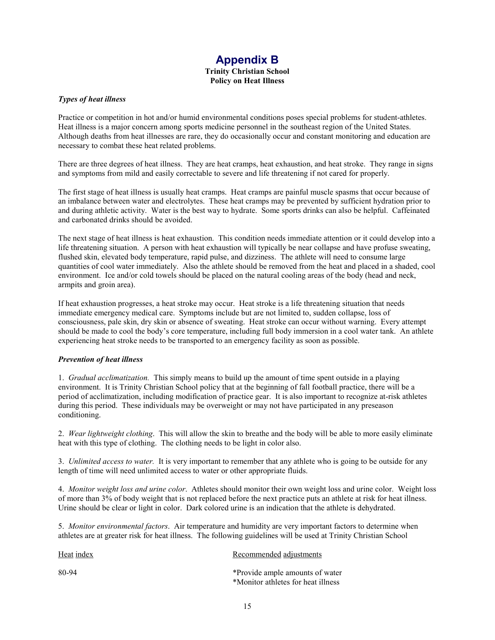#### **Appendix B Trinity Christian School Policy on Heat Illness**

#### *Types of heat illness*

Practice or competition in hot and/or humid environmental conditions poses special problems for student-athletes. Heat illness is a major concern among sports medicine personnel in the southeast region of the United States. Although deaths from heat illnesses are rare, they do occasionally occur and constant monitoring and education are necessary to combat these heat related problems.

There are three degrees of heat illness. They are heat cramps, heat exhaustion, and heat stroke. They range in signs and symptoms from mild and easily correctable to severe and life threatening if not cared for properly.

The first stage of heat illness is usually heat cramps. Heat cramps are painful muscle spasms that occur because of an imbalance between water and electrolytes. These heat cramps may be prevented by sufficient hydration prior to and during athletic activity. Water is the best way to hydrate. Some sports drinks can also be helpful. Caffeinated and carbonated drinks should be avoided.

The next stage of heat illness is heat exhaustion. This condition needs immediate attention or it could develop into a life threatening situation. A person with heat exhaustion will typically be near collapse and have profuse sweating, flushed skin, elevated body temperature, rapid pulse, and dizziness. The athlete will need to consume large quantities of cool water immediately. Also the athlete should be removed from the heat and placed in a shaded, cool environment. Ice and/or cold towels should be placed on the natural cooling areas of the body (head and neck, armpits and groin area).

If heat exhaustion progresses, a heat stroke may occur. Heat stroke is a life threatening situation that needs immediate emergency medical care. Symptoms include but are not limited to, sudden collapse, loss of consciousness, pale skin, dry skin or absence of sweating. Heat stroke can occur without warning. Every attempt should be made to cool the body's core temperature, including full body immersion in a cool water tank. An athlete experiencing heat stroke needs to be transported to an emergency facility as soon as possible.

#### *Prevention of heat illness*

1. *Gradual acclimatization.* This simply means to build up the amount of time spent outside in a playing environment. It is Trinity Christian School policy that at the beginning of fall football practice, there will be a period of acclimatization, including modification of practice gear. It is also important to recognize at-risk athletes during this period. These individuals may be overweight or may not have participated in any preseason conditioning.

2. *Wear lightweight clothing*. This will allow the skin to breathe and the body will be able to more easily eliminate heat with this type of clothing. The clothing needs to be light in color also.

3. *Unlimited access to water.* It is very important to remember that any athlete who is going to be outside for any length of time will need unlimited access to water or other appropriate fluids.

4. *Monitor weight loss and urine color*. Athletes should monitor their own weight loss and urine color. Weight loss of more than 3% of body weight that is not replaced before the next practice puts an athlete at risk for heat illness. Urine should be clear or light in color. Dark colored urine is an indication that the athlete is dehydrated.

5. *Monitor environmental factors*. Air temperature and humidity are very important factors to determine when athletes are at greater risk for heat illness. The following guidelines will be used at Trinity Christian School

| Heat index | Recommended adjustments            |
|------------|------------------------------------|
| 80-94      | *Provide ample amounts of water    |
|            | *Monitor athletes for heat illness |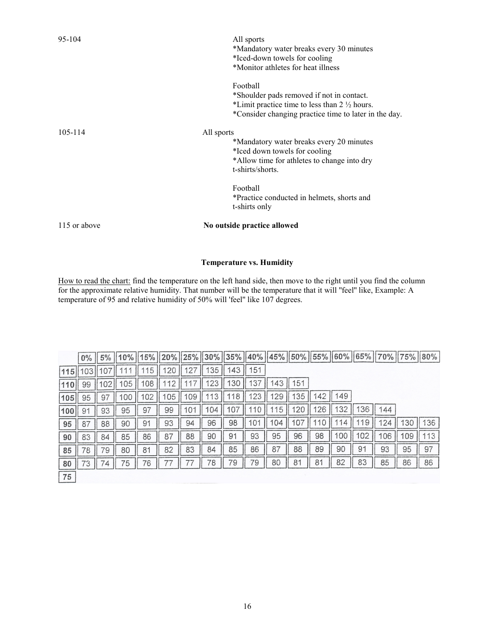| 95-104       | All sports<br>*Mandatory water breaks every 30 minutes<br>*Iced-down towels for cooling<br>*Monitor athletes for heat illness                                             |
|--------------|---------------------------------------------------------------------------------------------------------------------------------------------------------------------------|
|              | Football<br>*Shoulder pads removed if not in contact.<br>*Limit practice time to less than $2\frac{1}{2}$ hours.<br>*Consider changing practice time to later in the day. |
| 105-114      | All sports<br>*Mandatory water breaks every 20 minutes<br>*Iced down towels for cooling<br>*Allow time for athletes to change into dry<br>t-shirts/shorts.                |
|              | Football<br>*Practice conducted in helmets, shorts and<br>t-shirts only                                                                                                   |
| 115 or above | No outside practice allowed                                                                                                                                               |

#### **Temperature vs. Humidity**

How to read the chart: find the temperature on the left hand side, then move to the right until you find the column for the approximate relative humidity. That number will be the temperature that it will ''feel'' like, Example: A temperature of 95 and relative humidity of 50% will 'feel'' like 107 degrees.

|     | $0\%$ | 5% |     | 15% | 20%       | 25% | $ 30\% $ |     |               |     |     |    |     |    | 35%    40%    45%    50%    55%    60%    65%    70%    75%    80% |     |     |
|-----|-------|----|-----|-----|-----------|-----|----------|-----|---------------|-----|-----|----|-----|----|--------------------------------------------------------------------|-----|-----|
| 115 | 03    |    |     | 5   | <b>20</b> |     | 35       | 143 | 151           |     |     |    |     |    |                                                                    |     |     |
|     | 99    | 02 | 105 | 108 |           |     | 123      | 30  | $\mathcal{E}$ | 43  | 151 |    |     |    |                                                                    |     |     |
| 105 | 95    | 97 | 100 | 102 | 05        | 109 | 13       | 18  | 23            | 29  | 135 | 42 | 149 |    |                                                                    |     |     |
| 100 | 91    | 93 | 95  | 97  | 99        | 101 | 104      | 10  |               | 15  | 20  | 26 | 32  | 36 | 144                                                                |     |     |
| 95  | 87    | 88 | 90  | 91  | 93        | 94  | 96       | 98  | 101           | 104 |     |    | 4   | 19 | 24                                                                 | 130 | 136 |
| 90  | 83    | 84 | 85  | 86  | 87        | 88  | 90       | 91  | 93            | 95  | 96  | 98 | 00  | 02 | 106                                                                | 109 | 113 |
| 85  | 78    | 79 | 80  | 81  | 82        | 83  | 84       | 85  | 86            | 87  | 88  | 89 | 90  | 91 | 93                                                                 | 95  | 97  |
| 80  | 73    | 74 | 75  | 76  |           |     | 78       | 79  | 79            | 80  | 81  | 81 | 82  | 83 | 85                                                                 | 86  | 86  |
| 75  |       |    |     |     |           |     |          |     |               |     |     |    |     |    |                                                                    |     |     |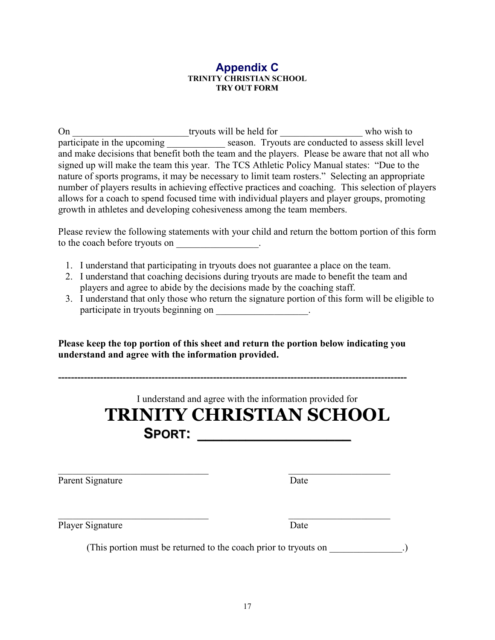#### **Appendix C TRINITY CHRISTIAN SCHOOL TRY OUT FORM**

On \_\_\_\_\_\_\_\_\_\_\_\_\_\_\_\_\_\_\_\_\_\_\_\_tryouts will be held for \_\_\_\_\_\_\_\_\_\_\_\_\_\_\_\_\_\_\_\_\_\_ who wish to participate in the upcoming \_\_\_\_\_\_\_\_\_\_\_\_\_ season. Tryouts are conducted to assess skill level and make decisions that benefit both the team and the players. Please be aware that not all who signed up will make the team this year. The TCS Athletic Policy Manual states: "Due to the nature of sports programs, it may be necessary to limit team rosters." Selecting an appropriate number of players results in achieving effective practices and coaching. This selection of players allows for a coach to spend focused time with individual players and player groups, promoting growth in athletes and developing cohesiveness among the team members.

Please review the following statements with your child and return the bottom portion of this form to the coach before tryouts on \_\_\_\_\_\_\_\_\_\_\_\_\_\_\_.

- 1. I understand that participating in tryouts does not guarantee a place on the team.
- 2. I understand that coaching decisions during tryouts are made to benefit the team and players and agree to abide by the decisions made by the coaching staff.
- 3. I understand that only those who return the signature portion of this form will be eligible to participate in tryouts beginning on \_\_\_\_\_\_\_\_\_\_\_\_\_\_\_\_.

**Please keep the top portion of this sheet and return the portion below indicating you understand and agree with the information provided.**

**------------------------------------------------------------------------------------------------------------** 

| I understand and agree with the information provided for<br><b>TRINITY CHRISTIAN SCHOOL</b><br><b>SPORT:</b> |      |  |  |  |  |
|--------------------------------------------------------------------------------------------------------------|------|--|--|--|--|
| Parent Signature                                                                                             | Date |  |  |  |  |
| Player Signature                                                                                             | Date |  |  |  |  |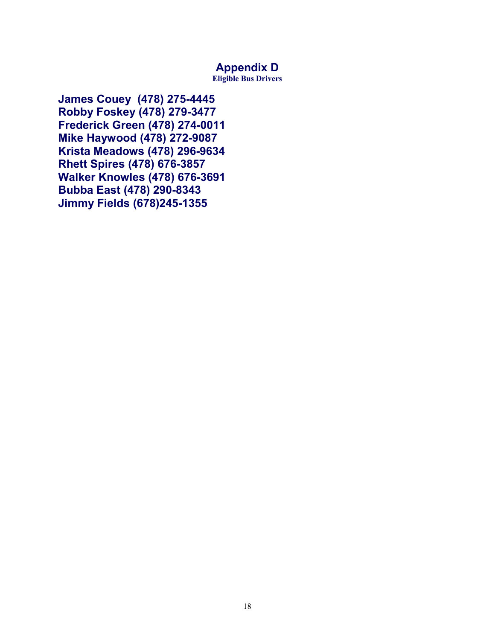# **Appendix D**

**Eligible Bus Drivers** 

**James Couey (478) 275-4445 Robby Foskey (478) 279-3477 Frederick Green (478) 274-0011 Mike Haywood (478) 272-9087 Krista Meadows (478) 296-9634 Rhett Spires (478) 676-3857 Walker Knowles (478) 676-3691 Bubba East (478) 290-8343 Jimmy Fields (678)245-1355**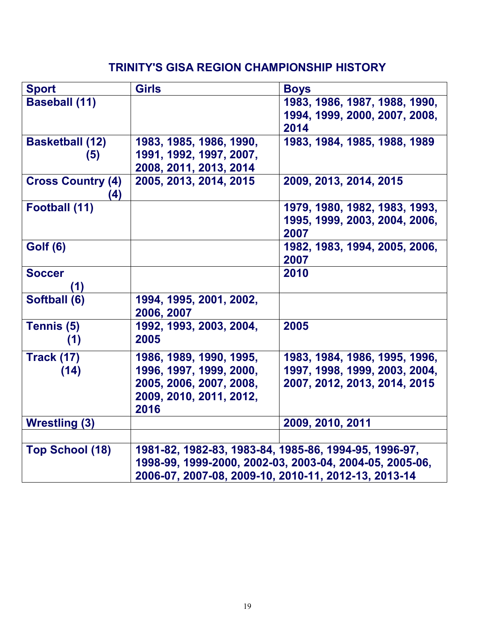# **TRINITY'S GISA REGION CHAMPIONSHIP HISTORY**

| <b>Sport</b>                    | <b>Girls</b>                                            | <b>Boys</b>                                           |  |  |
|---------------------------------|---------------------------------------------------------|-------------------------------------------------------|--|--|
| <b>Baseball (11)</b>            |                                                         | 1983, 1986, 1987, 1988, 1990,                         |  |  |
|                                 |                                                         | 1994, 1999, 2000, 2007, 2008,                         |  |  |
|                                 |                                                         | 2014                                                  |  |  |
| <b>Basketball (12)</b>          | 1983, 1985, 1986, 1990,                                 | 1983, 1984, 1985, 1988, 1989                          |  |  |
| (5)                             | 1991, 1992, 1997, 2007,                                 |                                                       |  |  |
|                                 | 2008, 2011, 2013, 2014                                  |                                                       |  |  |
| <b>Cross Country (4)</b><br>(4) | 2005, 2013, 2014, 2015                                  | 2009, 2013, 2014, 2015                                |  |  |
| Football (11)                   |                                                         | 1979, 1980, 1982, 1983, 1993,                         |  |  |
|                                 |                                                         | 1995, 1999, 2003, 2004, 2006,                         |  |  |
|                                 |                                                         | 2007                                                  |  |  |
| <b>Golf (6)</b>                 |                                                         | 1982, 1983, 1994, 2005, 2006,                         |  |  |
|                                 |                                                         | 2007                                                  |  |  |
| <b>Soccer</b>                   |                                                         | 2010                                                  |  |  |
| (1)                             |                                                         |                                                       |  |  |
| Softball (6)                    | 1994, 1995, 2001, 2002,                                 |                                                       |  |  |
|                                 | 2006, 2007                                              |                                                       |  |  |
| Tennis (5)                      | 1992, 1993, 2003, 2004,                                 | 2005                                                  |  |  |
| (1)                             | 2005                                                    |                                                       |  |  |
| <b>Track (17)</b>               | 1986, 1989, 1990, 1995,                                 | 1983, 1984, 1986, 1995, 1996,                         |  |  |
| (14)                            | 1996, 1997, 1999, 2000,                                 | 1997, 1998, 1999, 2003, 2004,                         |  |  |
|                                 | 2005, 2006, 2007, 2008,                                 | 2007, 2012, 2013, 2014, 2015                          |  |  |
|                                 | 2009, 2010, 2011, 2012,                                 |                                                       |  |  |
|                                 | 2016                                                    |                                                       |  |  |
| <b>Wrestling (3)</b>            |                                                         | 2009, 2010, 2011                                      |  |  |
|                                 |                                                         |                                                       |  |  |
| <b>Top School (18)</b>          |                                                         | 1981-82, 1982-83, 1983-84, 1985-86, 1994-95, 1996-97, |  |  |
|                                 | 1998-99, 1999-2000, 2002-03, 2003-04, 2004-05, 2005-06, |                                                       |  |  |
|                                 | 2006-07, 2007-08, 2009-10, 2010-11, 2012-13, 2013-14    |                                                       |  |  |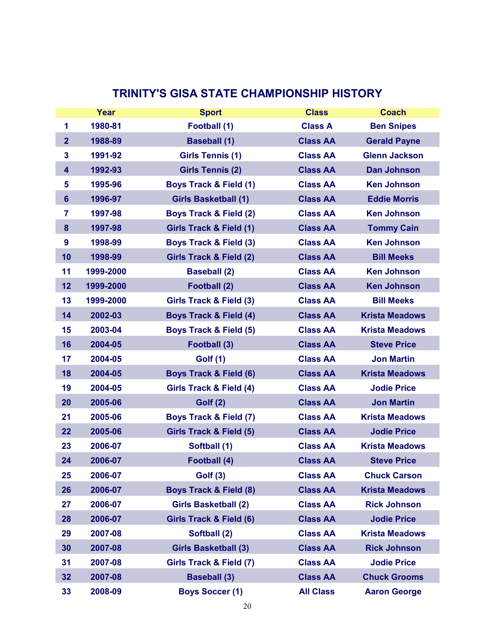# **TRINITY'S GISA STATE CHAMPIONSHIP HISTORY**

|                | Year      | <b>Sport</b>                       | <b>Class</b>     | <b>Coach</b>          |
|----------------|-----------|------------------------------------|------------------|-----------------------|
| 1              | 1980-81   | Football (1)                       | <b>Class A</b>   | <b>Ben Snipes</b>     |
| 2 <sup>1</sup> | 1988-89   | <b>Baseball (1)</b>                | <b>Class AA</b>  | <b>Gerald Payne</b>   |
| 3              | 1991-92   | <b>Girls Tennis (1)</b>            | <b>Class AA</b>  | <b>Glenn Jackson</b>  |
| 4              | 1992-93   | <b>Girls Tennis (2)</b>            | <b>Class AA</b>  | <b>Dan Johnson</b>    |
| 5              | 1995-96   | <b>Boys Track &amp; Field (1)</b>  | <b>Class AA</b>  | <b>Ken Johnson</b>    |
| 6              | 1996-97   | <b>Girls Basketball (1)</b>        | <b>Class AA</b>  | <b>Eddie Morris</b>   |
| 7              | 1997-98   | <b>Boys Track &amp; Field (2)</b>  | <b>Class AA</b>  | <b>Ken Johnson</b>    |
| 8              | 1997-98   | <b>Girls Track &amp; Field (1)</b> | <b>Class AA</b>  | <b>Tommy Cain</b>     |
| 9              | 1998-99   | <b>Boys Track &amp; Field (3)</b>  | <b>Class AA</b>  | <b>Ken Johnson</b>    |
| 10             | 1998-99   | <b>Girls Track &amp; Field (2)</b> | <b>Class AA</b>  | <b>Bill Meeks</b>     |
| 11             | 1999-2000 | <b>Baseball (2)</b>                | <b>Class AA</b>  | <b>Ken Johnson</b>    |
| 12             | 1999-2000 | <b>Football (2)</b>                | <b>Class AA</b>  | <b>Ken Johnson</b>    |
| 13             | 1999-2000 | Girls Track & Field (3)            | <b>Class AA</b>  | <b>Bill Meeks</b>     |
| 14             | 2002-03   | <b>Boys Track &amp; Field (4)</b>  | <b>Class AA</b>  | <b>Krista Meadows</b> |
| 15             | 2003-04   | <b>Boys Track &amp; Field (5)</b>  | <b>Class AA</b>  | <b>Krista Meadows</b> |
| 16             | 2004-05   | Football (3)                       | <b>Class AA</b>  | <b>Steve Price</b>    |
| 17             | 2004-05   | <b>Golf (1)</b>                    | <b>Class AA</b>  | <b>Jon Martin</b>     |
| 18             | 2004-05   | <b>Boys Track &amp; Field (6)</b>  | <b>Class AA</b>  | <b>Krista Meadows</b> |
| 19             | 2004-05   | Girls Track & Field (4)            | <b>Class AA</b>  | <b>Jodie Price</b>    |
| 20             | 2005-06   | <b>Golf (2)</b>                    | <b>Class AA</b>  | <b>Jon Martin</b>     |
| 21             | 2005-06   | <b>Boys Track &amp; Field (7)</b>  | <b>Class AA</b>  | <b>Krista Meadows</b> |
| 22             | 2005-06   | <b>Girls Track &amp; Field (5)</b> | <b>Class AA</b>  | <b>Jodie Price</b>    |
| 23             | 2006-07   | Softball (1)                       | <b>Class AA</b>  | <b>Krista Meadows</b> |
| 24             | 2006-07   | Football (4)                       | <b>Class AA</b>  | <b>Steve Price</b>    |
| 25             | 2006-07   | <b>Golf (3)</b>                    | <b>Class AA</b>  | <b>Chuck Carson</b>   |
| 26             | 2006-07   | <b>Boys Track &amp; Field (8)</b>  | <b>Class AA</b>  | <b>Krista Meadows</b> |
| 27             | 2006-07   | <b>Girls Basketball (2)</b>        | <b>Class AA</b>  | <b>Rick Johnson</b>   |
| 28             | 2006-07   | <b>Girls Track &amp; Field (6)</b> | <b>Class AA</b>  | <b>Jodie Price</b>    |
| 29             | 2007-08   | Softball (2)                       | <b>Class AA</b>  | <b>Krista Meadows</b> |
| 30             | 2007-08   | <b>Girls Basketball (3)</b>        | <b>Class AA</b>  | <b>Rick Johnson</b>   |
| 31             | 2007-08   | Girls Track & Field (7)            | <b>Class AA</b>  | <b>Jodie Price</b>    |
| 32             | 2007-08   | <b>Baseball (3)</b>                | <b>Class AA</b>  | <b>Chuck Grooms</b>   |
| 33             | 2008-09   | <b>Boys Soccer (1)</b>             | <b>All Class</b> | <b>Aaron George</b>   |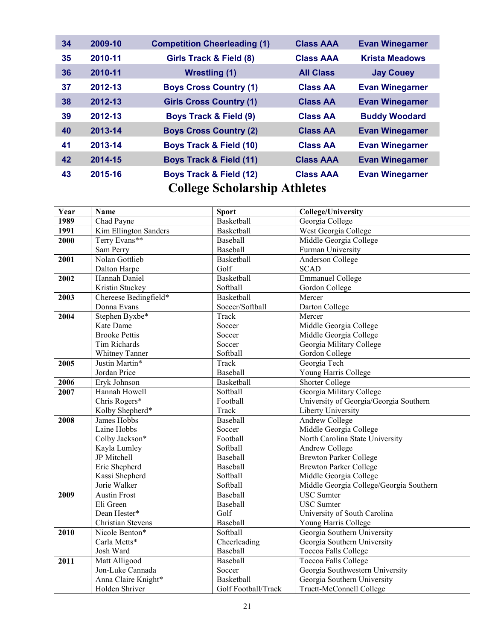| 34                                  | 2009-10 | <b>Competition Cheerleading (1)</b> | <b>Class AAA</b> | <b>Evan Winegarner</b> |  |
|-------------------------------------|---------|-------------------------------------|------------------|------------------------|--|
| 35                                  | 2010-11 | Girls Track & Field (8)             | <b>Class AAA</b> | <b>Krista Meadows</b>  |  |
| 36                                  | 2010-11 | <b>Wrestling (1)</b>                | <b>All Class</b> | <b>Jay Couey</b>       |  |
| 37                                  | 2012-13 | <b>Boys Cross Country (1)</b>       | <b>Class AA</b>  | <b>Evan Winegarner</b> |  |
| 38                                  | 2012-13 | <b>Girls Cross Country (1)</b>      | <b>Class AA</b>  | <b>Evan Winegarner</b> |  |
| 39                                  | 2012-13 | <b>Boys Track &amp; Field (9)</b>   | <b>Class AA</b>  | <b>Buddy Woodard</b>   |  |
| 40                                  | 2013-14 | <b>Boys Cross Country (2)</b>       | <b>Class AA</b>  | <b>Evan Winegarner</b> |  |
| 41                                  | 2013-14 | <b>Boys Track &amp; Field (10)</b>  | <b>Class AA</b>  | <b>Evan Winegarner</b> |  |
| 42                                  | 2014-15 | <b>Boys Track &amp; Field (11)</b>  | <b>Class AAA</b> | <b>Evan Winegarner</b> |  |
| 43                                  | 2015-16 | <b>Boys Track &amp; Field (12)</b>  | <b>Class AAA</b> | <b>Evan Winegarner</b> |  |
| <b>College Scholarship Athletes</b> |         |                                     |                  |                        |  |

| Year | Name                     | <b>Sport</b>        | <b>College/University</b>               |  |
|------|--------------------------|---------------------|-----------------------------------------|--|
| 1989 | Chad Payne               | Basketball          | Georgia College                         |  |
| 1991 | Kim Ellington Sanders    | Basketball          | West Georgia College                    |  |
| 2000 | Terry Evans**            | Baseball            | Middle Georgia College                  |  |
|      | Sam Perry                | Baseball            | Furman University                       |  |
| 2001 | Nolan Gottlieb           | Basketball          | Anderson College                        |  |
|      | Dalton Harpe             | Golf                | <b>SCAD</b>                             |  |
| 2002 | Hannah Daniel            | <b>Basketball</b>   | <b>Emmanuel College</b>                 |  |
|      | Kristin Stuckey          | Softball            | Gordon College                          |  |
| 2003 | Chereese Bedingfield*    | Basketball          | Mercer                                  |  |
|      | Donna Evans              | Soccer/Softball     | Darton College                          |  |
| 2004 | Stephen Byxbe*           | Track               | Mercer                                  |  |
|      | Kate Dame                | Soccer              | Middle Georgia College                  |  |
|      | <b>Brooke Pettis</b>     | Soccer              | Middle Georgia College                  |  |
|      | Tim Richards             | Soccer              | Georgia Military College                |  |
|      | Whitney Tanner           | Softball            | Gordon College                          |  |
| 2005 | Justin Martin*           | Track               | Georgia Tech                            |  |
|      | Jordan Price             | Baseball            | Young Harris College                    |  |
| 2006 | Eryk Johnson             | Basketball          | <b>Shorter College</b>                  |  |
| 2007 | Hannah Howell            | Softball            | Georgia Military College                |  |
|      | Chris Rogers*            | Football            | University of Georgia/Georgia Southern  |  |
|      | Kolby Shepherd*          | Track               | Liberty University                      |  |
| 2008 | James Hobbs              | Baseball            | <b>Andrew College</b>                   |  |
|      | Laine Hobbs              | Soccer              | Middle Georgia College                  |  |
|      | Colby Jackson*           | Football            | North Carolina State University         |  |
|      | Kayla Lumley             | Softball            | Andrew College                          |  |
|      | JP Mitchell              | Baseball            | <b>Brewton Parker College</b>           |  |
|      | Eric Shepherd            | Baseball            | <b>Brewton Parker College</b>           |  |
|      | Kassi Shepherd           | Softball            | Middle Georgia College                  |  |
|      | Jorie Walker             | Softball            | Middle Georgia College/Georgia Southern |  |
| 2009 | <b>Austin Frost</b>      | Baseball            | <b>USC</b> Sumter                       |  |
|      | Eli Green                | Baseball            | <b>USC</b> Sumter                       |  |
|      | Dean Hester*             | Golf                | University of South Carolina            |  |
|      | <b>Christian Stevens</b> | Baseball            | Young Harris College                    |  |
| 2010 | Nicole Benton*           | Softball            | Georgia Southern University             |  |
|      | Carla Metts*             | Cheerleading        | Georgia Southern University             |  |
|      | Josh Ward                | Baseball            | Toccoa Falls College                    |  |
| 2011 | Matt Alligood            | Baseball            | <b>Toccoa Falls College</b>             |  |
|      | Jon-Luke Cannada         | Soccer              | Georgia Southwestern University         |  |
|      | Anna Claire Knight*      | Basketball          | Georgia Southern University             |  |
|      | Holden Shriver           | Golf Football/Track | Truett-McConnell College                |  |